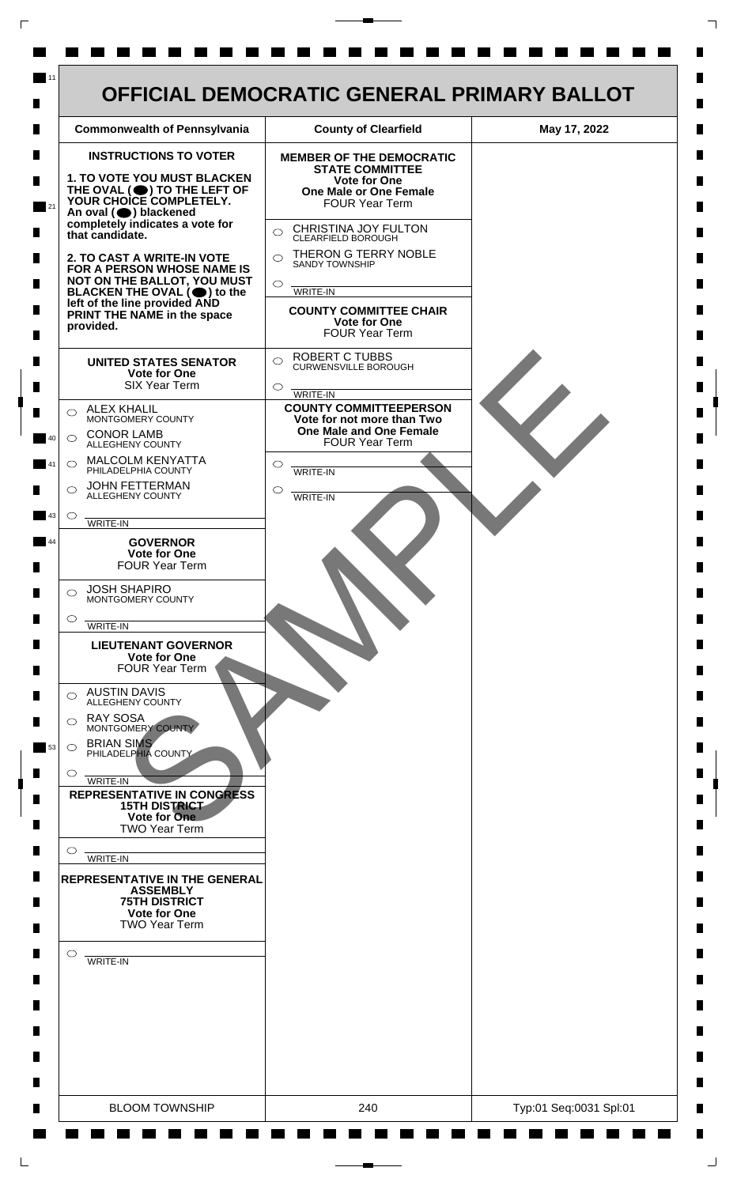| <b>INSTRUCTIONS TO VOTER</b><br><b>1. TO VOTE YOU MUST BLACKEN</b><br>THE OVAL (O) TO THE LEFT OF<br>YOUR CHOICE COMPLETELY.<br>An oval (O) blackened<br>completely indicates a vote for                                                                                                                                                                                                                                                                                                                                                                                                                                                                                                                                                                                                                                                                                                                                                                                                                                                                                                                                                                                                                                                 | <b>MEMBER OF THE DEMOCRATIC</b><br><b>STATE COMMITTEE</b><br><b>Vote for One</b><br><b>One Male or One Female</b><br><b>FOUR Year Term</b>                                                                                                                                                                                                                                                                                                                                                            |  |
|------------------------------------------------------------------------------------------------------------------------------------------------------------------------------------------------------------------------------------------------------------------------------------------------------------------------------------------------------------------------------------------------------------------------------------------------------------------------------------------------------------------------------------------------------------------------------------------------------------------------------------------------------------------------------------------------------------------------------------------------------------------------------------------------------------------------------------------------------------------------------------------------------------------------------------------------------------------------------------------------------------------------------------------------------------------------------------------------------------------------------------------------------------------------------------------------------------------------------------------|-------------------------------------------------------------------------------------------------------------------------------------------------------------------------------------------------------------------------------------------------------------------------------------------------------------------------------------------------------------------------------------------------------------------------------------------------------------------------------------------------------|--|
| that candidate.<br>2. TO CAST A WRITE-IN VOTE<br>FOR A PERSON WHOSE NAME IS<br>NOT ON THE BALLOT, YOU MUST<br>BLACKEN THE OVAL $(\bigcirc)$ to the<br>left of the line provided AND<br>PRINT THE NAME in the space<br>provided.<br><b>UNITED STATES SENATOR</b><br><b>Vote for One</b><br><b>SIX Year Term</b><br><b>ALEX KHALIL</b><br>◯<br>MONTGOMERY COUNTY<br><b>CONOR LAMB</b><br>$\bigcirc$<br>ALLEGHENY COUNTY<br>MALCOLM KENYATTA<br>$\circ$<br>PHILADELPHIA COUNTY<br><b>JOHN FETTERMAN</b><br>⌒<br>ALLEGHENY COUNTY<br>$\circ$<br>WRITE-IN<br><b>GOVERNOR</b><br><b>Vote for One</b><br><b>FOUR Year Term</b><br><b>JOSH SHAPIRO</b><br>⌒<br>MONTGOMERY COUNTY<br>$\circ$<br>WRITE-IN<br><b>LIEUTENANT GOVERNOR</b><br><b>Vote for One</b><br><b>FOUR Year Term</b><br><b>AUSTIN DAVIS</b><br>⌒<br><b>ALLEGHENY COUNTY</b><br><b>RAY SOSA</b><br>⌒<br>MONTGOMERY COUNTY<br><b>BRIAN SIMS</b><br>$\circ$<br>PHILADELPHIA COUNTY<br>O<br>WRITE-IN<br><b>REPRESENTATIVE IN CONGRESS</b><br><b>15TH DISTRICT</b><br>Vote for One<br><b>TWO Year Term</b><br>O<br>WRITE-IN<br><b>REPRESENTATIVE IN THE GENERAL</b><br><b>ASSEMBLY</b><br><b>75TH DISTRICT</b><br><b>Vote for One</b><br><b>TWO Year Term</b><br>$\circ$<br>WRITE-IN | CHRISTINA JOY FULTON<br>$\bigcirc$<br>CLEARFIELD BOROUGH<br>THERON G TERRY NOBLE<br>$\bigcirc$<br><b>SANDY TOWNSHIP</b><br>$\circ$<br>WRITE-IN<br><b>COUNTY COMMITTEE CHAIR</b><br><b>Vote for One</b><br><b>FOUR Year Term</b><br><b>ROBERT C TUBBS</b><br>$\bigcirc$<br><b>CURWENSVILLE BOROUGH</b><br>$\circ$<br><b>WRITE-IN</b><br><b>COUNTY COMMITTEEPERSON</b><br>Vote for not more than Two<br>One Male and One Female<br><b>FOUR Year Term</b><br>$\circ$<br><b>WRITE-IN</b><br>◯<br>WRITE-IN |  |

 $\Gamma$ 

 $\Box$ 

 $\perp$ 

٦